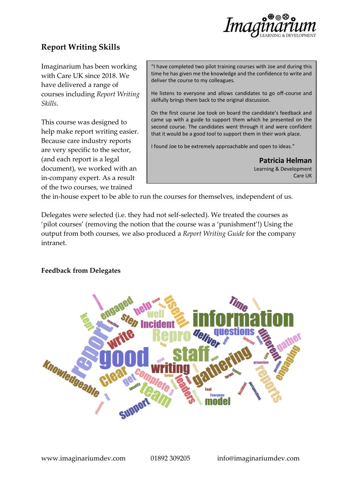

# **Report Writing Skills**

Imaginarium has been working with Care UK since 2018. We have delivered a range of courses including *Report Writing Skills*.

This course was designed to help make report writing easier. Because care industry reports are very specific to the sector, (and each report is a legal document), we worked with an in-company expert. As a result of the two courses, we trained

"I have completed two pilot training courses with Joe and during this time he has given me the knowledge and the confidence to write and deliver the course to my colleagues.

He listens to everyone and allows candidates to go off-course and skilfully brings them back to the original discussion.

On the first course Joe took on board the candidate's feedback and came up with a guide to support them which he presented on the second course. The candidates went through it and were confident that it would be a good tool to support them in their work place.

I found Joe to be extremely approachable and open to ideas."

**Patricia Helman** Learning & Development Care UK

the in-house expert to be able to run the courses for themselves, independent of us.

Delegates were selected (i.e. they had not self-selected). We treated the courses as 'pilot courses' (removing the notion that the course was a 'punishment'!) Using the output from both courses, we also produced a *Report Writing Guide* for the company intranet.

#### **Feedback from Delegates**

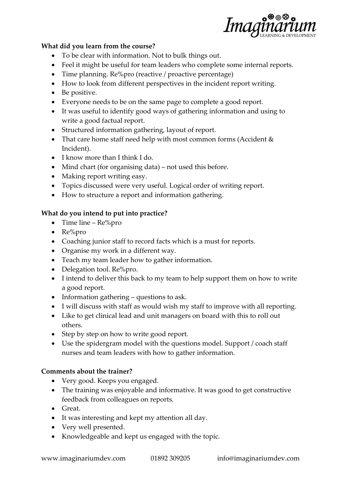

### **What did you learn from the course?**

- To be clear with information. Not to bulk things out.
- Feel it might be useful for team leaders who complete some internal reports.
- Time planning. Re%pro (reactive / proactive percentage)
- How to look from different perspectives in the incident report writing.
- Be positive.
- Everyone needs to be on the same page to complete a good report.
- It was useful to identify good ways of gathering information and using to write a good factual report.
- Structured information gathering, layout of report.
- That care home staff need help with most common forms (Accident & Incident).
- I know more than I think I do.
- Mind chart (for organising data) not used this before.
- Making report writing easy.
- Topics discussed were very useful. Logical order of writing report.
- How to structure a report and information gathering.

## **What do you intend to put into practice?**

- Time line Re%pro
- Re%pro
- Coaching junior staff to record facts which is a must for reports.
- Organise my work in a different way.
- Teach my team leader how to gather information.
- Delegation tool. Re%pro.
- I intend to deliver this back to my team to help support them on how to write a good report.
- Information gathering questions to ask.
- I will discuss with staff as would wish my staff to improve with all reporting.
- Like to get clinical lead and unit managers on board with this to roll out others.
- Step by step on how to write good report.
- Use the spidergram model with the questions model. Support / coach staff nurses and team leaders with how to gather information.

## **Comments about the trainer?**

- Very good. Keeps you engaged.
- The training was enjoyable and informative. It was good to get constructive feedback from colleagues on reports.
- Great.
- It was interesting and kept my attention all day.
- Very well presented.
- Knowledgeable and kept us engaged with the topic.